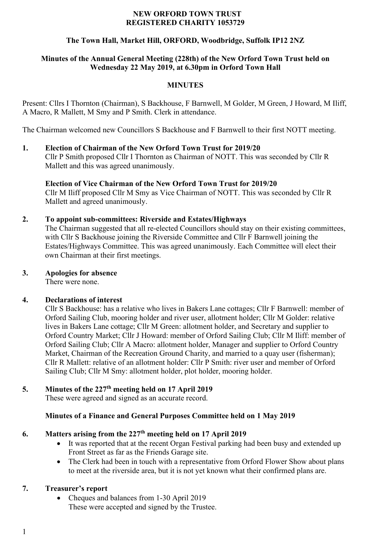#### **NEW ORFORD TOWN TRUST REGISTERED CHARITY 1053729**

## **The Town Hall, Market Hill, ORFORD, Woodbridge, Suffolk IP12 2NZ**

#### **Minutes of the Annual General Meeting (228th) of the New Orford Town Trust held on Wednesday 22 May 2019, at 6.30pm in Orford Town Hall**

#### **MINUTES**

Present: Cllrs I Thornton (Chairman), S Backhouse, F Barnwell, M Golder, M Green, J Howard, M Iliff, A Macro, R Mallett, M Smy and P Smith. Clerk in attendance.

The Chairman welcomed new Councillors S Backhouse and F Barnwell to their first NOTT meeting.

# **1. Election of Chairman of the New Orford Town Trust for 2019/20**

Cllr P Smith proposed Cllr I Thornton as Chairman of NOTT. This was seconded by Cllr R Mallett and this was agreed unanimously.

#### **Election of Vice Chairman of the New Orford Town Trust for 2019/20** Cllr M Iliff proposed Cllr M Smy as Vice Chairman of NOTT. This was seconded by Cllr R Mallett and agreed unanimously.

## **2. To appoint sub-committees: Riverside and Estates/Highways**

The Chairman suggested that all re-elected Councillors should stay on their existing committees, with Cllr S Backhouse joining the Riverside Committee and Cllr F Barnwell joining the Estates/Highways Committee. This was agreed unanimously. Each Committee will elect their own Chairman at their first meetings.

#### **3. Apologies for absence**

There were none.

#### **4. Declarations of interest**

Cllr S Backhouse: has a relative who lives in Bakers Lane cottages; Cllr F Barnwell: member of Orford Sailing Club, mooring holder and river user, allotment holder; Cllr M Golder: relative lives in Bakers Lane cottage; Cllr M Green: allotment holder, and Secretary and supplier to Orford Country Market; Cllr J Howard: member of Orford Sailing Club; Cllr M Iliff: member of Orford Sailing Club; Cllr A Macro: allotment holder, Manager and supplier to Orford Country Market, Chairman of the Recreation Ground Charity, and married to a quay user (fisherman); Cllr R Mallett: relative of an allotment holder: Cllr P Smith: river user and member of Orford Sailing Club; Cllr M Smy: allotment holder, plot holder, mooring holder.

#### **5. Minutes of the 227th meeting held on 17 April 2019**

These were agreed and signed as an accurate record.

#### **Minutes of a Finance and General Purposes Committee held on 1 May 2019**

#### **6. Matters arising from the 227th meeting held on 17 April 2019**

- It was reported that at the recent Organ Festival parking had been busy and extended up Front Street as far as the Friends Garage site.
- The Clerk had been in touch with a representative from Orford Flower Show about plans to meet at the riverside area, but it is not yet known what their confirmed plans are.

#### **7. Treasurer's report**

• Cheques and balances from 1-30 April 2019 These were accepted and signed by the Trustee.